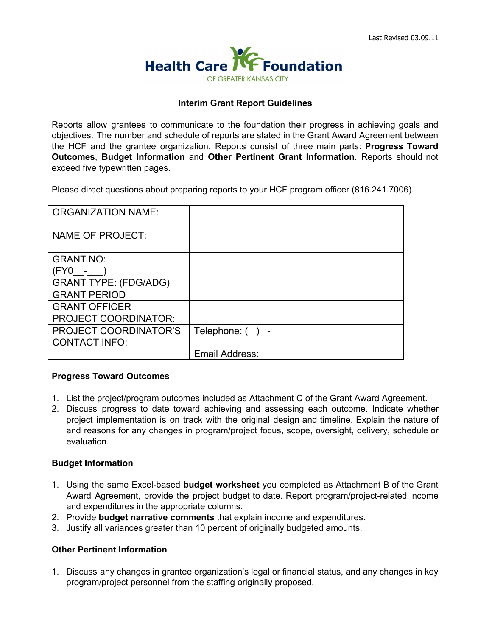

## **Interim Grant Report Guidelines**

Reports allow grantees to communicate to the foundation their progress in achieving goals and objectives. The number and schedule of reports are stated in the Grant Award Agreement between the HCF and the grantee organization. Reports consist of three main parts: **Progress Toward Outcomes**, **Budget Information** and **Other Pertinent Grant Information**. Reports should not exceed five typewritten pages.

Please direct questions about preparing reports to your HCF program officer (816.241.7006).

| <b>ORGANIZATION NAME:</b>    |                    |
|------------------------------|--------------------|
| <b>NAME OF PROJECT:</b>      |                    |
| <b>GRANT NO:</b>             |                    |
| $(FY0 -$                     |                    |
| <b>GRANT TYPE: (FDG/ADG)</b> |                    |
| <b>GRANT PERIOD</b>          |                    |
| <b>GRANT OFFICER</b>         |                    |
| <b>PROJECT COORDINATOR:</b>  |                    |
| PROJECT COORDINATOR'S        | Telephone: $( ) -$ |
| <b>CONTACT INFO:</b>         |                    |
|                              | Email Address:     |

## **Progress Toward Outcomes**

- 1. List the project/program outcomes included as Attachment C of the Grant Award Agreement.
- 2. Discuss progress to date toward achieving and assessing each outcome. Indicate whether project implementation is on track with the original design and timeline. Explain the nature of and reasons for any changes in program/project focus, scope, oversight, delivery, schedule or evaluation.

## **Budget Information**

- 1. Using the same Excel-based **budget worksheet** you completed as Attachment B of the Grant Award Agreement, provide the project budget to date. Report program/project-related income and expenditures in the appropriate columns.
- 2. Provide **budget narrative comments**that explain income and expenditures.
- 3. Justify all variances greater than 10 percent of originally budgeted amounts.

## **Other Pertinent Information**

1. Discuss any changes in grantee organization's legal or financial status, and any changes in key program/project personnel from the staffing originally proposed.